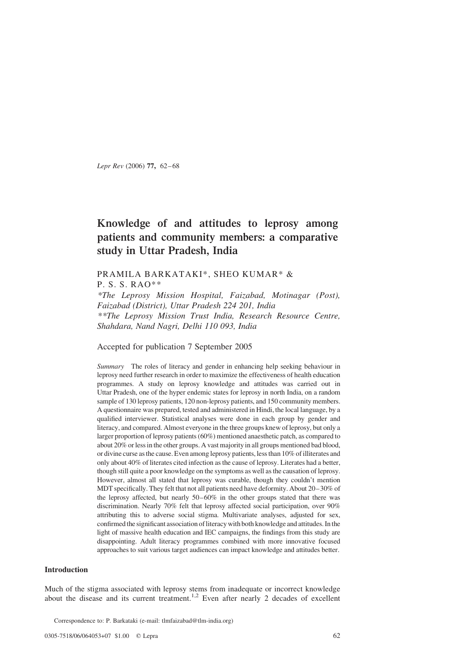Lepr Rev (2006) 77, 62–68

# Knowledge of and attitudes to leprosy among patients and community members: a comparative study in Uttar Pradesh, India

# PRAMILA BARKATAKI\*, SHEO KUMAR\* &

P. S. S. RAO\*\*

\*The Leprosy Mission Hospital, Faizabad, Motinagar (Post), Faizabad (District), Uttar Pradesh 224 201, India \*\*The Leprosy Mission Trust India, Research Resource Centre, Shahdara, Nand Nagri, Delhi 110 093, India

Accepted for publication 7 September 2005

Summary The roles of literacy and gender in enhancing help seeking behaviour in leprosy need further research in order to maximize the effectiveness of health education programmes. A study on leprosy knowledge and attitudes was carried out in Uttar Pradesh, one of the hyper endemic states for leprosy in north India, on a random sample of 130 leprosy patients, 120 non-leprosy patients, and 150 community members. A questionnaire was prepared, tested and administered in Hindi, the local language, by a qualified interviewer. Statistical analyses were done in each group by gender and literacy, and compared. Almost everyone in the three groups knew of leprosy, but only a larger proportion of leprosy patients (60%) mentioned anaesthetic patch, as compared to about 20% or less in the other groups. A vast majority in all groups mentioned bad blood, or divine curse as the cause. Even among leprosy patients, less than 10% of illiterates and only about 40% of literates cited infection as the cause of leprosy. Literates had a better, though still quite a poor knowledge on the symptoms as well as the causation of leprosy. However, almost all stated that leprosy was curable, though they couldn't mention MDT specifically. They felt that not all patients need have deformity. About 20–30% of the leprosy affected, but nearly 50–60% in the other groups stated that there was discrimination. Nearly 70% felt that leprosy affected social participation, over 90% attributing this to adverse social stigma. Multivariate analyses, adjusted for sex, confirmed the significant association of literacy with both knowledge and attitudes. In the light of massive health education and IEC campaigns, the findings from this study are disappointing. Adult literacy programmes combined with more innovative focused approaches to suit various target audiences can impact knowledge and attitudes better.

## Introduction

Much of the stigma associated with leprosy stems from inadequate or incorrect knowledge about the disease and its current treatment.<sup>[1,2](#page-5-0)</sup> Even after nearly 2 decades of excellent

Correspondence to: P. Barkataki (e-mail: tlmfaizabad@tlm-india.org)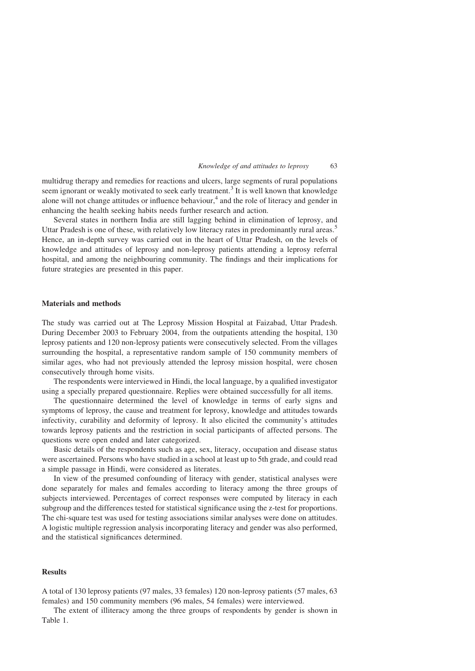#### Knowledge of and attitudes to leprosy 63

multidrug therapy and remedies for reactions and ulcers, large segments of rural populations seem ignorant or weakly motivated to seek early treatment.<sup>[3](#page-5-0)</sup> It is well known that knowledge alone will not change attitudes or influence behaviour, $4$  and the role of literacy and gender in enhancing the health seeking habits needs further research and action.

Several states in northern India are still lagging behind in elimination of leprosy, and Uttar Pradesh is one of these, with relatively low literacy rates in predominantly rural areas.<sup>[5](#page-6-0)</sup> Hence, an in-depth survey was carried out in the heart of Uttar Pradesh, on the levels of knowledge and attitudes of leprosy and non-leprosy patients attending a leprosy referral hospital, and among the neighbouring community. The findings and their implications for future strategies are presented in this paper.

#### Materials and methods

The study was carried out at The Leprosy Mission Hospital at Faizabad, Uttar Pradesh. During December 2003 to February 2004, from the outpatients attending the hospital, 130 leprosy patients and 120 non-leprosy patients were consecutively selected. From the villages surrounding the hospital, a representative random sample of 150 community members of similar ages, who had not previously attended the leprosy mission hospital, were chosen consecutively through home visits.

The respondents were interviewed in Hindi, the local language, by a qualified investigator using a specially prepared questionnaire. Replies were obtained successfully for all items.

The questionnaire determined the level of knowledge in terms of early signs and symptoms of leprosy, the cause and treatment for leprosy, knowledge and attitudes towards infectivity, curability and deformity of leprosy. It also elicited the community's attitudes towards leprosy patients and the restriction in social participants of affected persons. The questions were open ended and later categorized.

Basic details of the respondents such as age, sex, literacy, occupation and disease status were ascertained. Persons who have studied in a school at least up to 5th grade, and could read a simple passage in Hindi, were considered as literates.

In view of the presumed confounding of literacy with gender, statistical analyses were done separately for males and females according to literacy among the three groups of subjects interviewed. Percentages of correct responses were computed by literacy in each subgroup and the differences tested for statistical significance using the z-test for proportions. The chi-square test was used for testing associations similar analyses were done on attitudes. A logistic multiple regression analysis incorporating literacy and gender was also performed, and the statistical significances determined.

## Results

A total of 130 leprosy patients (97 males, 33 females) 120 non-leprosy patients (57 males, 63 females) and 150 community members (96 males, 54 females) were interviewed.

The extent of illiteracy among the three groups of respondents by gender is shown in [Table 1](#page-2-0).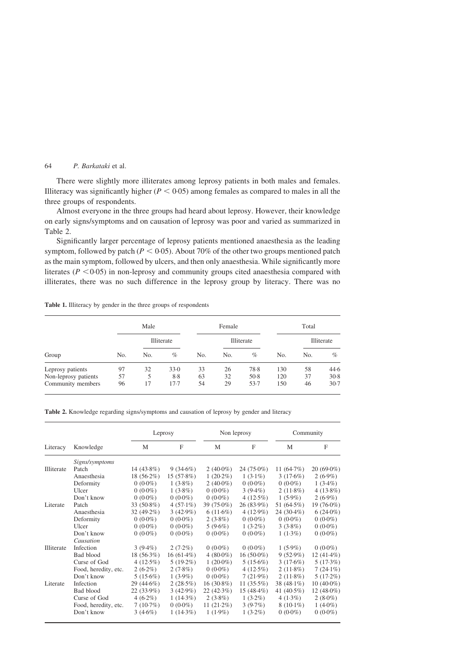# <span id="page-2-0"></span>64 P. Barkataki et al.

There were slightly more illiterates among leprosy patients in both males and females. Illiteracy was significantly higher ( $P < 0.05$ ) among females as compared to males in all the three groups of respondents.

Almost everyone in the three groups had heard about leprosy. However, their knowledge on early signs/symptoms and on causation of leprosy was poor and varied as summarized in Table 2.

Significantly larger percentage of leprosy patients mentioned anaesthesia as the leading symptom, followed by patch ( $P < 0.05$ ). About 70% of the other two groups mentioned patch as the main symptom, followed by ulcers, and then only anaesthesia. While significantly more literates ( $P < 0.05$ ) in non-leprosy and community groups cited anaesthesia compared with illiterates, there was no such difference in the leprosy group by literacy. There was no

| Table 1. Illiteracy by gender in the three groups of respondents |  |  |  |  |  |  |
|------------------------------------------------------------------|--|--|--|--|--|--|
|------------------------------------------------------------------|--|--|--|--|--|--|

|                      | Male |            |        | Female |            |        | Total |            |        |
|----------------------|------|------------|--------|--------|------------|--------|-------|------------|--------|
|                      |      | Illiterate |        |        | Illiterate |        |       | Illiterate |        |
| Group                | No.  | No.        | $\%$   | No.    | No.        | %      | No.   | No.        | $\%$   |
| Leprosy patients     | 97   | 32         | 33.0   | 33     | 26         | 78.8   | 130   | 58         | 44.6   |
| Non-leprosy patients | 57   | 5          | 8.8    | 63     | 32         | $50-8$ | 120   | 37         | $30-8$ |
| Community members    | 96   | 17         | $17-7$ | 54     | 29         | 53.7   | 150   | 46         | $30-7$ |

| Table 2. Knowledge regarding signs/symptoms and causation of leprosy by gender and literacy |  |  |  |  |  |  |  |  |  |
|---------------------------------------------------------------------------------------------|--|--|--|--|--|--|--|--|--|
|---------------------------------------------------------------------------------------------|--|--|--|--|--|--|--|--|--|

|            |                      | Leprosy       |              |               | Non leprosy   | Community     |               |
|------------|----------------------|---------------|--------------|---------------|---------------|---------------|---------------|
| Literacy   | Knowledge            | M             | $\mathbf{F}$ | M             | $\mathbf{F}$  | M             | F             |
|            | Signs/symptoms       |               |              |               |               |               |               |
| Illiterate | Patch                | 14 $(43.8\%)$ | $9(34.6\%)$  | 2 $(40.0\%)$  | $24(75.0\%)$  | 11 $(64.7%)$  | $20(69.0\%)$  |
|            | Anaesthesia          | $18(56.2\%)$  | 15(57.8%)    | $1(20.2\%)$   | $1(3.1\%)$    | 3(17.6%)      | $2(6.9\%)$    |
|            | Deformity            | $0(0.0\%)$    | $1(3.8\%)$   | $2(40.0\%)$   | $0(0.0\%)$    | $0(0.0\%)$    | $1(3.4\%)$    |
|            | Ulcer                | $0(0.0\%)$    | $1(3.8\%)$   | $0(0.0\%)$    | $3(9.4\%)$    | $2(11.8\%)$   | $4(13.8\%)$   |
|            | Don't know           | $0(0.0\%)$    | $0(0.0\%)$   | $0(0.0\%)$    | $4(12.5\%)$   | $1(5.9\%)$    | $2(6.9\%)$    |
| Literate   | Patch                | 33 (50.8%)    | $4(57.1\%)$  | 39 $(75.0\%)$ | $26(83.9\%)$  | 51 (64.5%)    | 19 (76.0%)    |
|            | Anaesthesia          | 32 $(49.2\%)$ | $3(42.9\%)$  | $6(11.6\%)$   | $4(12.9\%)$   | $24(30.4\%)$  | $6(24.0\%)$   |
|            | Deformity            | $0(0.0\%)$    | $0(0.0\%)$   | $2(3.8\%)$    | $0(0.0\%)$    | $0(0.0\%)$    | $0(0.0\%)$    |
|            | Ulcer                | $0(0.0\%)$    | $0(0.0\%)$   | $5(9.6\%)$    | $1(3.2\%)$    | $3(3.8\%)$    | $0(0.0\%)$    |
|            | Don't know           | $0(0.0\%)$    | $0(0.0\%)$   | $0(0.0\%)$    | $0(0.0\%)$    | $1(1.3\%)$    | $0(0.0\%)$    |
|            | Causation            |               |              |               |               |               |               |
| Illiterate | Infection            | $3(9.4\%)$    | $2(7.2\%)$   | $0(0.0\%)$    | $0(0.0\%)$    | $1(5.9\%)$    | $0(0.0\%)$    |
|            | Bad blood            | $18(56.3\%)$  | $16(61.4\%)$ | $4(80.0\%)$   | $16(50.0\%)$  | $9(52.9\%)$   | $12(41.4\%)$  |
|            | Curse of God         | $4(12.5\%)$   | $5(19.2\%)$  | $1(20.0\%)$   | $5(15.6\%)$   | 3(17.6%)      | 5(17.3%)      |
|            | Food, heredity, etc. | $2(6.2\%)$    | 2(7.8%)      | $0(0.0\%)$    | 4(12.5%)      | $2(11.8\%)$   | $7(24.1\%)$   |
|            | Don't know           | $5(15.6\%)$   | $1(3.9\%)$   | $0(0.0\%)$    | $7(21.9\%)$   | $2(11.8\%)$   | 5(17.2%)      |
| Literate   | Infection            | $29(44.6\%)$  | 2(28.5%)     | $16(30.8\%)$  | 11 $(35.5\%)$ | 38 $(48.1\%)$ | $10(40.0\%)$  |
|            | Bad blood            | $22(33.9\%)$  | $3(42.9\%)$  | 22(42.3%)     | $15(48.4\%)$  | 41 $(40.5\%)$ | 12 $(48.0\%)$ |
|            | Curse of God         | $4(6.2\%)$    | $1(14.3\%)$  | $2(3.8\%)$    | $1(3.2\%)$    | $4(1.3\%)$    | $2(8.0\%)$    |
|            | Food, heredity, etc. | 7(10.7%)      | $0(0.0\%)$   | 11 $(21.2\%)$ | $3(9.7\%)$    | $8(10.1\%)$   | 1 $(4.0\%)$   |
|            | Don't know           | $3(4.6\%)$    | $1(14.3\%)$  | $1(1.9\%)$    | $1(3.2\%)$    | $0(0.0\%)$    | $0(0.0\%)$    |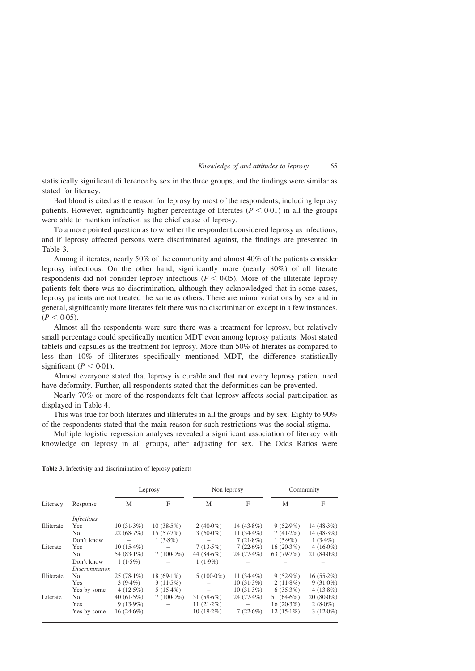#### Knowledge of and attitudes to leprosy 65

statistically significant difference by sex in the three groups, and the findings were similar as stated for literacy.

Bad blood is cited as the reason for leprosy by most of the respondents, including leprosy patients. However, significantly higher percentage of literates ( $P < 0.01$ ) in all the groups were able to mention infection as the chief cause of leprosy.

To a more pointed question as to whether the respondent considered leprosy as infectious, and if leprosy affected persons were discriminated against, the findings are presented in Table 3.

Among illiterates, nearly 50% of the community and almost 40% of the patients consider leprosy infectious. On the other hand, significantly more (nearly 80%) of all literate respondents did not consider leprosy infectious ( $P < 0.05$ ). More of the illiterate leprosy patients felt there was no discrimination, although they acknowledged that in some cases, leprosy patients are not treated the same as others. There are minor variations by sex and in general, significantly more literates felt there was no discrimination except in a few instances.  $(P < 0.05)$ .

Almost all the respondents were sure there was a treatment for leprosy, but relatively small percentage could specifically mention MDT even among leprosy patients. Most stated tablets and capsules as the treatment for leprosy. More than 50% of literates as compared to less than 10% of illiterates specifically mentioned MDT, the difference statistically significant ( $P < 0.01$ ).

Almost everyone stated that leprosy is curable and that not every leprosy patient need have deformity. Further, all respondents stated that the deformities can be prevented.

Nearly 70% or more of the respondents felt that leprosy affects social participation as displayed in [Table 4](#page-4-0).

This was true for both literates and illiterates in all the groups and by sex. Eighty to 90% of the respondents stated that the main reason for such restrictions was the social stigma.

Multiple logistic regression analyses revealed a significant association of literacy with knowledge on leprosy in all groups, after adjusting for sex. The Odds Ratios were

| Literacy   | Response              |               | Leprosy       | Non leprosy   |               | Community     |              |
|------------|-----------------------|---------------|---------------|---------------|---------------|---------------|--------------|
|            |                       | M             | F             | M             | F             | М             | F            |
|            | <i>Infectious</i>     |               |               |               |               |               |              |
| Illiterate | Yes                   | $10(31.3\%)$  | $10(38.5\%)$  | $2(40.0\%)$   | 14 $(43.8\%)$ | $9(52.9\%)$   | 14 $(48.3%)$ |
|            | No.                   | 22(68.7%)     | 15(57.7%)     | $3(60.0\%)$   | 11 $(34.4\%)$ | $7(41.2\%)$   | 14 $(48.3%)$ |
|            | Don't know            |               | $1(3.8\%)$    |               | $7(21.8\%)$   | $1(5.9\%)$    | $1(3.4\%)$   |
| Literate   | Yes                   | $10(15.4\%)$  |               | $7(13.5\%)$   | 7(22.6%)      | $16(20.3\%)$  | $4(16.0\%)$  |
|            | No.                   | 54 $(83.1\%)$ | $7(100.0\%)$  | 44 $(84.6\%)$ | $24(77.4\%)$  | 63 $(79.7%)$  | $21(840\%)$  |
|            | Don't know            | $1(1.5\%)$    |               | $1(1.9\%)$    |               |               |              |
|            | <i>Discrimination</i> |               |               |               |               |               |              |
| Illiterate | No.                   | $25(78.1\%)$  | 18 $(69.1\%)$ | $5(100.0\%)$  | 11 $(34.4\%)$ | $9(52.9\%)$   | $16(55.2\%)$ |
|            | Yes                   | $3(9.4\%)$    | $3(11.5\%)$   |               | $10(31.3\%)$  | $2(11.8\%)$   | $9(31.0\%)$  |
|            | Yes by some           | $4(12.5\%)$   | $5(15.4\%)$   |               | $10(31.3\%)$  | $6(35.3\%)$   | $4(13.8\%)$  |
| Literate   | No.                   | 40 $(61.5\%)$ | $7(100.0\%)$  | $31(59.6\%)$  | $24(77.4\%)$  | 51 $(64.6\%)$ | $20(80.0\%)$ |
|            | Yes                   | $9(13.9\%)$   |               | 11 $(21.2\%)$ |               | $16(20.3\%)$  | $2(8.0\%)$   |
|            | Yes by some           | $16(24.6\%)$  |               | $10(19.2\%)$  | 7(22.6%)      | $12(15.1\%)$  | $3(12.0\%)$  |
|            |                       |               |               |               |               |               |              |

Table 3. Infectivity and discrimination of leprosy patients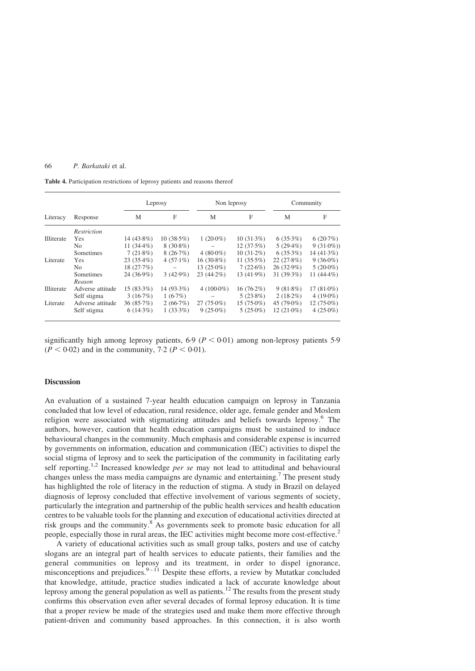## <span id="page-4-0"></span>66 P. Barkataki et al.

Table 4. Participation restrictions of leprosy patients and reasons thereof

|                   | Response         |               | Leprosy      | Non leprosy  |               | Community     |               |
|-------------------|------------------|---------------|--------------|--------------|---------------|---------------|---------------|
| Literacy          |                  | M             | F            | М            | F             | M             | F             |
|                   | Restriction      |               |              |              |               |               |               |
| <b>Illiterate</b> | <b>Yes</b>       | $14(43.8\%)$  | $10(38.5\%)$ | $1(20.0\%)$  | $10(31.3\%)$  | $6(35.3\%)$   | 6(20.7%)      |
|                   | N <sub>0</sub>   | 11 $(34.4\%)$ | $8(30.8\%)$  |              | $12(37.5\%)$  | $5(29.4\%)$   | $9(31.0\%)$   |
|                   | Sometimes        | $7(21.8\%)$   | 8(26.7%)     | $4(80.0\%)$  | $10(31.2\%)$  | $6(35.3\%)$   | 14 $(41.3\%)$ |
| Literate          | <b>Yes</b>       | $23(35.4\%)$  | $4(57.1\%)$  | $16(30.8\%)$ | 11 $(35.5\%)$ | 22(27.8%)     | $9(36.0\%)$   |
|                   | N <sub>0</sub>   | 18(27.7%)     |              | $13(25.0\%)$ | $7(22.6\%)$   | $26(32.9\%)$  | $5(20.0\%)$   |
|                   | Sometimes        | $24(36.9\%)$  | $3(42.9\%)$  | $23(44.2\%)$ | $13(41.9\%)$  | 31(39.3%)     | 11 $(44.4\%)$ |
|                   | Reason           |               |              |              |               |               |               |
| <b>Illiterate</b> | Adverse attitude | $15(83.3\%)$  | 14 (93.3%)   | $4(100.0\%)$ | $16(76.2\%)$  | $9(81.8\%)$   | 17 $(81.0\%)$ |
|                   | Self stigma      | 3(16.7%)      | $1(6.7\%)$   |              | $5(23.8\%)$   | $2(18.2\%)$   | 4 $(19.0\%)$  |
| Literate          | Adverse attitude | 36(85.7%)     | 2(66.7%)     | $27(75.0\%)$ | $15(75.0\%)$  | 45 $(79.0\%)$ | $12(75.0\%)$  |
|                   | Self stigma      | $6(14.3\%)$   | $1(33.3\%)$  | $9(25.0\%)$  | $5(25.0\%)$   | $12(21.0\%)$  | 4 $(25.0\%)$  |

significantly high among leprosy patients,  $6.9$  ( $P < 0.01$ ) among non-leprosy patients 5.9  $(P < 0.02)$  and in the community, 7.2 ( $P < 0.01$ ).

## **Discussion**

An evaluation of a sustained 7-year health education campaign on leprosy in Tanzania concluded that low level of education, rural residence, older age, female gender and Moslem religion were associated with stigmatizing attitudes and beliefs towards leprosy.[6](#page-6-0) The authors, however, caution that health education campaigns must be sustained to induce behavioural changes in the community. Much emphasis and considerable expense is incurred by governments on information, education and communication (IEC) activities to dispel the social stigma of leprosy and to seek the participation of the community in facilitating early self reporting.<sup>[1,2](#page-5-0)</sup> Increased knowledge *per se* may not lead to attitudinal and behavioural changes unless the mass media campaigns are dynamic and entertaining.<sup>[7](#page-6-0)</sup> The present study has highlighted the role of literacy in the reduction of stigma. A study in Brazil on delayed diagnosis of leprosy concluded that effective involvement of various segments of society, particularly the integration and partnership of the public health services and health education centres to be valuable tools for the planning and execution of educational activities directed at risk groups and the community.<sup>[8](#page-6-0)</sup> As governments seek to promote basic education for all people, especially those in rural areas, the IEC activities might become more cost-effective.[2](#page-5-0)

A variety of educational activities such as small group talks, posters and use of catchy slogans are an integral part of health services to educate patients, their families and the general communities on leprosy and its treatment, in order to dispel ignorance, misconceptions and prejudices. $9-11$  Despite these efforts, a review by Mutatkar concluded that knowledge, attitude, practice studies indicated a lack of accurate knowledge about leprosy among the general population as well as patients.[12](#page-6-0) The results from the present study confirms this observation even after several decades of formal leprosy education. It is time that a proper review be made of the strategies used and make them more effective through patient-driven and community based approaches. In this connection, it is also worth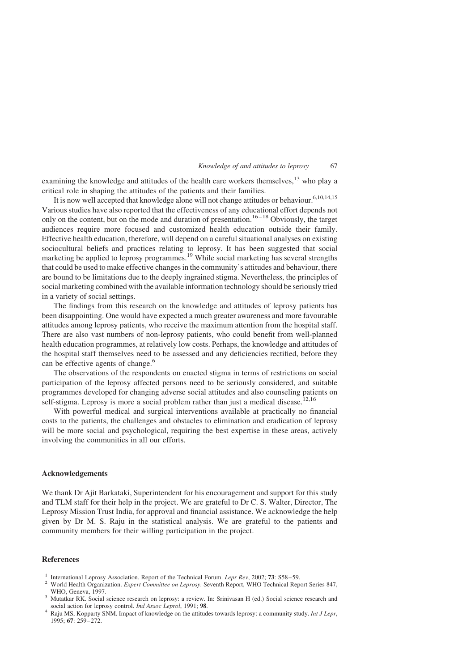#### Knowledge of and attitudes to leprosy 67

<span id="page-5-0"></span>examining the knowledge and attitudes of the health care workers themselves,  $^{13}$  $^{13}$  $^{13}$  who play a critical role in shaping the attitudes of the patients and their families.

It is now well accepted that knowledge alone will not change attitudes or behaviour.<sup>6,10,14,15</sup> Various studies have also reported that the effectiveness of any educational effort depends not only on the content, but on the mode and duration of presentation.<sup>16-18</sup> Obviously, the target audiences require more focused and customized health education outside their family. Effective health education, therefore, will depend on a careful situational analyses on existing sociocultural beliefs and practices relating to leprosy. It has been suggested that social marketing be applied to leprosy programmes.<sup>[19](#page-6-0)</sup> While social marketing has several strengths that could be used to make effective changes in the community's attitudes and behaviour, there are bound to be limitations due to the deeply ingrained stigma. Nevertheless, the principles of social marketing combined with the available information technology should be seriously tried in a variety of social settings.

The findings from this research on the knowledge and attitudes of leprosy patients has been disappointing. One would have expected a much greater awareness and more favourable attitudes among leprosy patients, who receive the maximum attention from the hospital staff. There are also vast numbers of non-leprosy patients, who could benefit from well-planned health education programmes, at relatively low costs. Perhaps, the knowledge and attitudes of the hospital staff themselves need to be assessed and any deficiencies rectified, before they can be effective agents of change.<sup>[6](#page-6-0)</sup>

The observations of the respondents on enacted stigma in terms of restrictions on social participation of the leprosy affected persons need to be seriously considered, and suitable programmes developed for changing adverse social attitudes and also counseling patients on self-stigma. Leprosy is more a social problem rather than just a medical disease.<sup>[12,16](#page-6-0)</sup>

With powerful medical and surgical interventions available at practically no financial costs to the patients, the challenges and obstacles to elimination and eradication of leprosy will be more social and psychological, requiring the best expertise in these areas, actively involving the communities in all our efforts.

## Acknowledgements

We thank Dr Ajit Barkataki, Superintendent for his encouragement and support for this study and TLM staff for their help in the project. We are grateful to Dr C. S. Walter, Director, The Leprosy Mission Trust India, for approval and financial assistance. We acknowledge the help given by Dr M. S. Raju in the statistical analysis. We are grateful to the patients and community members for their willing participation in the project.

# References

- 
- <sup>1</sup> International Leprosy Association. Report of the Technical Forum. *Lepr Rev*, 2002; **73**: S58–59.<br><sup>2</sup> World Health Organization. *Expert Committee on Leprosy*. Seventh Report, WHO Technical Report Series 847,
- WHO, Geneva, 1997.<br><sup>3</sup> Mutatkar RK. Social science research on leprosy: a review. In: Srinivasan H (ed.) Social science research and social action for leprosy control. *Ind Assoc Leprol*, 1991; **98**.

Raju MS, Kopparty SNM. Impact of knowledge on the attitudes towards leprosy: a community study. Int J Lepr, 1995; 67: 259–272.